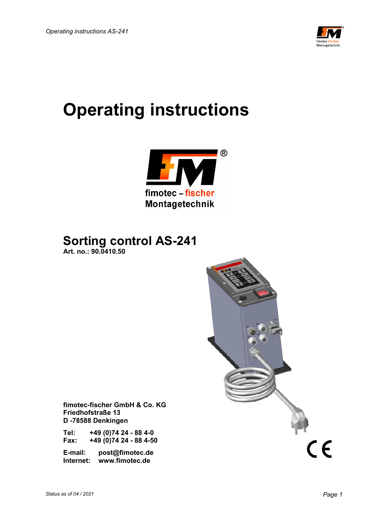

# **Operating instructions**



 **Sorting control AS-241 Art. no.: 90.0410.50** 



 **fimotec-fischer GmbH & Co. KG Friedhofstraße 13 D -78588 Denkingen** 

 **Tel: +49 (0)74 24 - 88 4-0 Fax: +49 (0)74 24 - 88 4-50** 

 **E-mail: post@fimotec.de Internet: www.fimotec.de**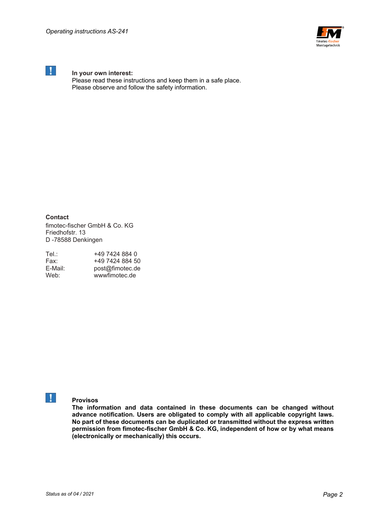

# **1** In your own interest:

 Please read these instructions and keep them in a safe place. Please observe and follow the safety information.

**Contact** 

fimotec-fischer GmbH & Co. KG Friedhofstr. 13 D -78588 Denkingen

| Tel∴    | +49 7424 884 0  |
|---------|-----------------|
| Fax:    | +49 7424 884 50 |
| E-Mail: | post@fimotec.de |
| Web:    | wwwfimotec.de   |

# **Provisos**

**The information and data contained in these documents can be changed without advance notification. Users are obligated to comply with all applicable copyright laws. No part of these documents can be duplicated or transmitted without the express written permission from fimotec-fischer GmbH & Co. KG, independent of how or by what means (electronically or mechanically) this occurs.**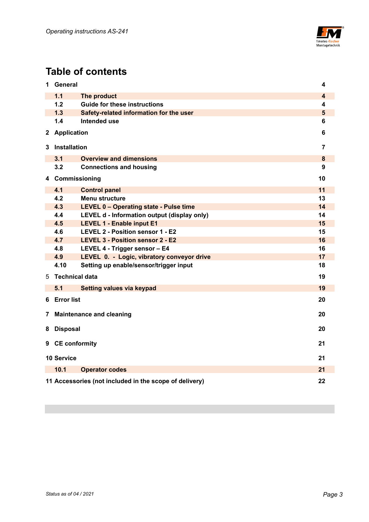

# **Table of contents**

| 1            | <b>General</b>                        |                                                        | 4                       |  |  |
|--------------|---------------------------------------|--------------------------------------------------------|-------------------------|--|--|
|              | 1.1                                   | The product                                            | $\overline{\mathbf{4}}$ |  |  |
|              | 1.2                                   | <b>Guide for these instructions</b>                    | 4                       |  |  |
|              | 1.3                                   | Safety-related information for the user                | $5\phantom{1}$          |  |  |
|              | 1.4                                   | Intended use                                           | 6                       |  |  |
| $\mathbf{2}$ | <b>Application</b>                    |                                                        | 6                       |  |  |
| 3            | Installation                          |                                                        | 7                       |  |  |
|              | 3.1                                   | <b>Overview and dimensions</b>                         | 8                       |  |  |
|              | 3.2                                   | <b>Connections and housing</b>                         | 9                       |  |  |
| 4            | Commissioning                         |                                                        | 10                      |  |  |
|              | 4.1                                   | <b>Control panel</b>                                   | 11                      |  |  |
|              | 4.2                                   | <b>Menu structure</b>                                  | 13                      |  |  |
|              | 4.3                                   | LEVEL 0 - Operating state - Pulse time                 | 14                      |  |  |
|              | 4.4                                   | LEVEL d - Information output (display only)            | 14                      |  |  |
|              | 4.5                                   | <b>LEVEL 1 - Enable input E1</b>                       | 15                      |  |  |
|              | 4.6                                   | LEVEL 2 - Position sensor 1 - E2                       | 15                      |  |  |
|              | 4.7                                   | LEVEL 3 - Position sensor 2 - E2                       | 16                      |  |  |
|              | 4.8                                   | LEVEL 4 - Trigger sensor - E4                          | 16                      |  |  |
|              | 4.9                                   | LEVEL 0. - Logic, vibratory conveyor drive             | 17                      |  |  |
|              | 4.10                                  | Setting up enable/sensor/trigger input                 | 18                      |  |  |
| 5            | <b>Technical data</b>                 |                                                        | 19                      |  |  |
|              | 5.1                                   | Setting values via keypad                              | 19                      |  |  |
| 6            | <b>Error list</b>                     |                                                        | 20                      |  |  |
| 7            | 20<br><b>Maintenance and cleaning</b> |                                                        |                         |  |  |
| 8            | <b>Disposal</b><br>20                 |                                                        |                         |  |  |
| 9            | <b>CE conformity</b><br>21            |                                                        |                         |  |  |
|              | <b>10 Service</b>                     |                                                        | 21                      |  |  |
|              | 10.1                                  | <b>Operator codes</b>                                  | 21                      |  |  |
|              |                                       | 11 Accessories (not included in the scope of delivery) | 22                      |  |  |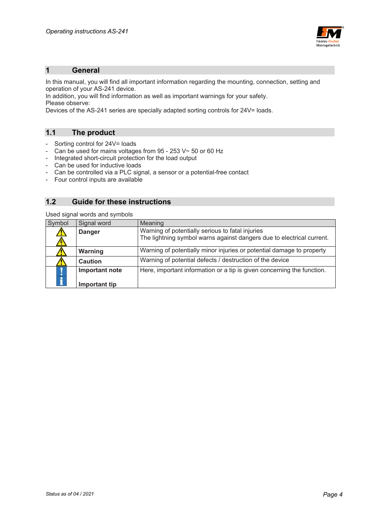

#### **1 General**

In this manual, you will find all important information regarding the mounting, connection, setting and operation of your AS-241 device.

In addition, you will find information as well as important warnings for your safety. Please observe:

Devices of the AS-241 series are specially adapted sorting controls for 24V= loads.

#### **1.1 The product**

- Sorting control for 24V= loads
- Can be used for mains voltages from 95 253 V~ 50 or 60 Hz
- Integrated short-circuit protection for the load output
- Can be used for inductive loads
- Can be controlled via a PLC signal, a sensor or a potential-free contact
- Four control inputs are available

## **1.2 Guide for these instructions**

Used signal words and symbols

| Symbol        | Signal word    | Meaning                                                                |
|---------------|----------------|------------------------------------------------------------------------|
|               | <b>Danger</b>  | Warning of potentially serious to fatal injuries                       |
|               |                | The lightning symbol warns against dangers due to electrical current.  |
|               | Warning        | Warning of potentially minor injuries or potential damage to property  |
|               | <b>Caution</b> | Warning of potential defects / destruction of the device               |
|               | Important note | Here, important information or a tip is given concerning the function. |
| $\frac{1}{1}$ |                |                                                                        |
|               | Important tip  |                                                                        |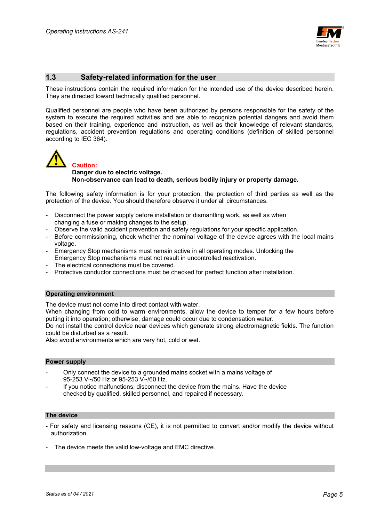

#### **1.3 Safety-related information for the user**

These instructions contain the required information for the intended use of the device described herein. They are directed toward technically qualified personnel.

Qualified personnel are people who have been authorized by persons responsible for the safety of the system to execute the required activities and are able to recognize potential dangers and avoid them based on their training, experience and instruction, as well as their knowledge of relevant standards, regulations, accident prevention regulations and operating conditions (definition of skilled personnel according to IEC 364).



#### **Danger due to electric voltage. Non-observance can lead to death, serious bodily injury or property damage.**

The following safety information is for your protection, the protection of third parties as well as the protection of the device. You should therefore observe it under all circumstances.

- Disconnect the power supply before installation or dismantling work, as well as when changing a fuse or making changes to the setup.
- Observe the valid accident prevention and safety regulations for your specific application.
- Before commissioning, check whether the nominal voltage of the device agrees with the local mains voltage.
- Emergency Stop mechanisms must remain active in all operating modes. Unlocking the Emergency Stop mechanisms must not result in uncontrolled reactivation.
- The electrical connections must be covered.
- Protective conductor connections must be checked for perfect function after installation.

#### **Operating environment**

The device must not come into direct contact with water.

When changing from cold to warm environments, allow the device to temper for a few hours before putting it into operation; otherwise, damage could occur due to condensation water.

Do not install the control device near devices which generate strong electromagnetic fields. The function could be disturbed as a result.

Also avoid environments which are very hot, cold or wet.

#### **Power supply**

- Only connect the device to a grounded mains socket with a mains voltage of 95-253 V~/50 Hz or 95-253 V~/60 Hz.
- If you notice malfunctions, disconnect the device from the mains. Have the device checked by qualified, skilled personnel, and repaired if necessary.

#### **The device**

- For safety and licensing reasons (CE), it is not permitted to convert and/or modify the device without authorization.
- The device meets the valid low-voltage and EMC directive.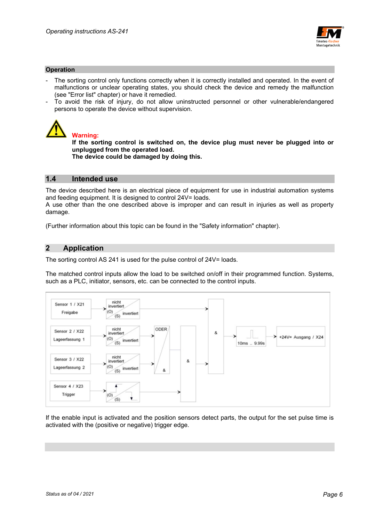

#### **Operation**

- The sorting control only functions correctly when it is correctly installed and operated. In the event of malfunctions or unclear operating states, you should check the device and remedy the malfunction (see "Error list" chapter) or have it remedied.
- To avoid the risk of injury, do not allow uninstructed personnel or other vulnerable/endangered persons to operate the device without supervision.



## **Warning:**

**If the sorting control is switched on, the device plug must never be plugged into or unplugged from the operated load.** 

 **The device could be damaged by doing this.** 

#### **1.4 Intended use**

The device described here is an electrical piece of equipment for use in industrial automation systems and feeding equipment. It is designed to control 24V= loads.

A use other than the one described above is improper and can result in injuries as well as property damage.

(Further information about this topic can be found in the "Safety information" chapter).

#### **2 Application**

The sorting control AS 241 is used for the pulse control of 24V= loads.

The matched control inputs allow the load to be switched on/off in their programmed function. Systems, such as a PLC, initiator, sensors, etc. can be connected to the control inputs.



If the enable input is activated and the position sensors detect parts, the output for the set pulse time is activated with the (positive or negative) trigger edge.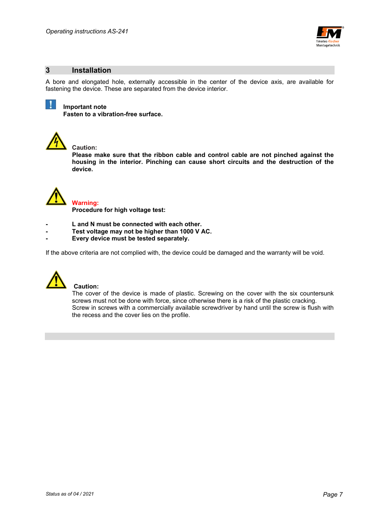

#### **3 Installation**

A bore and elongated hole, externally accessible in the center of the device axis, are available for fastening the device. These are separated from the device interior.



#### **Important note**

 **Fasten to a vibration-free surface.** 



#### **Caution:**

**Please make sure that the ribbon cable and control cable are not pinched against the housing in the interior. Pinching can cause short circuits and the destruction of the device.** 



#### **Warning:**

 **Procedure for high voltage test:** 

- **L and N must be connected with each other.**
- **Test voltage may not be higher than 1000 V AC.**
- **Every device must be tested separately.**

If the above criteria are not complied with, the device could be damaged and the warranty will be void.



#### **Caution:**

The cover of the device is made of plastic. Screwing on the cover with the six countersunk screws must not be done with force, since otherwise there is a risk of the plastic cracking. Screw in screws with a commercially available screwdriver by hand until the screw is flush with the recess and the cover lies on the profile.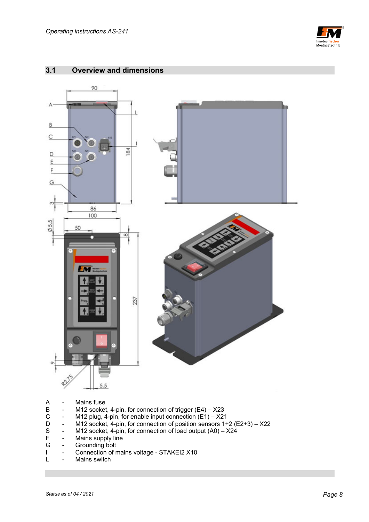

# **3.1 Overview and dimensions**  90 A  $\overline{B}$ C  $84$ D E F G  $\alpha$ 86 100  $0.5, 5$ 50 Fм 237 ¢)  $5,5$

- 
- A Mains fuse<br>B M12 socke B - M12 socket, 4-pin, for connection of trigger (E4) – X23<br>C - M12 plug, 4-pin, for enable input connection (E1) – X21
- C M12 plug, 4-pin, for enable input connection  $(E1) X21$ <br>D M12 socket, 4-pin, for connection of position sensors 1+
- D M12 socket, 4-pin, for connection of position sensors 1+2 (E2+3) X22<br>S M12 socket, 4-pin, for connection of load output (A0) X24
- S M12 socket, 4-pin, for connection of load output  $(A0) X24$ <br>F Mains supply line
- F Mains supply line<br>G Grounding bolt
- Grounding bolt
- I Connection of mains voltage STAKEI2 X10
- L Mains switch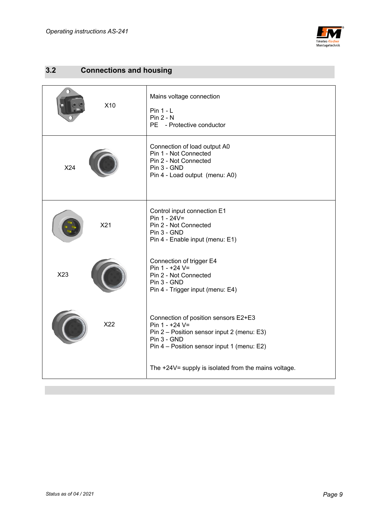

# **3.2 Connections and housing**

| X10 | Mains voltage connection<br>$Pin 1 - L$<br>$Pin 2 - N$<br>PE - Protective conductor                                                                               |
|-----|-------------------------------------------------------------------------------------------------------------------------------------------------------------------|
| X24 | Connection of load output A0<br>Pin 1 - Not Connected<br>Pin 2 - Not Connected<br>Pin 3 - GND<br>Pin 4 - Load output (menu: A0)                                   |
| X21 | Control input connection E1<br>Pin $1 - 24V =$<br>Pin 2 - Not Connected<br>Pin 3 - GND<br>Pin 4 - Enable input (menu: E1)                                         |
| X23 | Connection of trigger E4<br>Pin $1 - +24$ V=<br>Pin 2 - Not Connected<br>Pin 3 - GND<br>Pin 4 - Trigger input (menu: E4)                                          |
| X22 | Connection of position sensors E2+E3<br>Pin 1 - +24 V=<br>Pin 2 – Position sensor input 2 (menu: E3)<br>Pin 3 - GND<br>Pin 4 - Position sensor input 1 (menu: E2) |
|     | The +24V= supply is isolated from the mains voltage.                                                                                                              |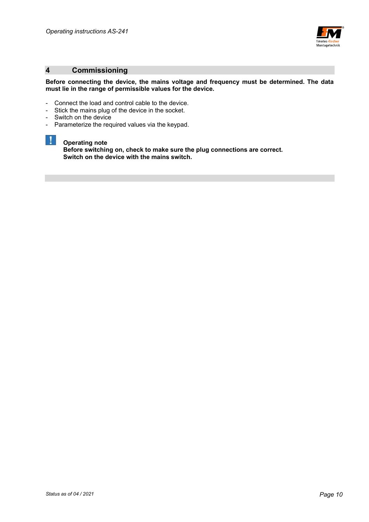

## **4 Commissioning**

#### **Before connecting the device, the mains voltage and frequency must be determined. The data must lie in the range of permissible values for the device.**

- Connect the load and control cable to the device.
- Stick the mains plug of the device in the socket.
- Switch on the device

 $\mathbf{1}$ 

- Parameterize the required values via the keypad.

### **Operating note**

 **Before switching on, check to make sure the plug connections are correct. Switch on the device with the mains switch.**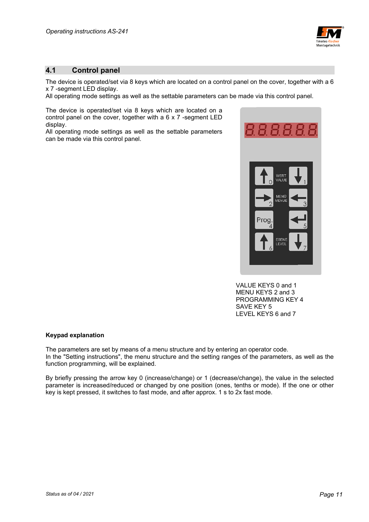

## **4.1 Control panel**

The device is operated/set via 8 keys which are located on a control panel on the cover, together with a 6 x 7 -segment LED display.

All operating mode settings as well as the settable parameters can be made via this control panel.

The device is operated/set via 8 keys which are located on a control panel on the cover, together with a 6 x 7 -segment LED display.

All operating mode settings as well as the settable parameters can be made via this control panel.



 VALUE KEYS 0 and 1 MENU KEYS 2 and 3 PROGRAMMING KEY 4 SAVE KEY 5 LEVEL KEYS 6 and 7

#### **Keypad explanation**

The parameters are set by means of a menu structure and by entering an operator code. In the "Setting instructions", the menu structure and the setting ranges of the parameters, as well as the function programming, will be explained.

By briefly pressing the arrow key 0 (increase/change) or 1 (decrease/change), the value in the selected parameter is increased/reduced or changed by one position (ones, tenths or mode). If the one or other key is kept pressed, it switches to fast mode, and after approx. 1 s to 2x fast mode.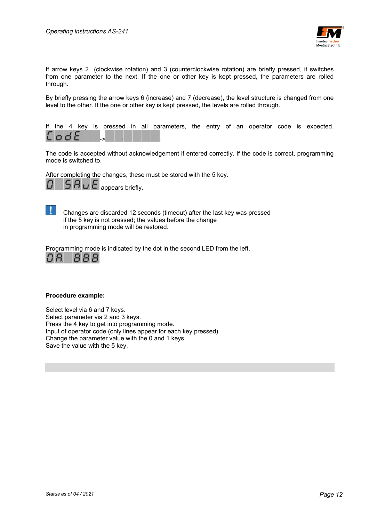

If arrow keys 2 (clockwise rotation) and 3 (counterclockwise rotation) are briefly pressed, it switches from one parameter to the next. If the one or other key is kept pressed, the parameters are rolled through.

By briefly pressing the arrow keys 6 (increase) and 7 (decrease), the level structure is changed from one level to the other. If the one or other key is kept pressed, the levels are rolled through.



The code is accepted without acknowledgement if entered correctly. If the code is correct, programming mode is switched to.

After completing the changes, these must be stored with the 5 key.



 Changes are discarded 12 seconds (timeout) after the last key was pressed if the 5 key is not pressed; the values before the change in programming mode will be restored.

Programming mode is indicated by the dot in the second LED from the left.



#### **Procedure example:**

Select level via 6 and 7 keys. Select parameter via 2 and 3 keys. Press the 4 key to get into programming mode. Input of operator code (only lines appear for each key pressed) Change the parameter value with the 0 and 1 keys. Save the value with the 5 key.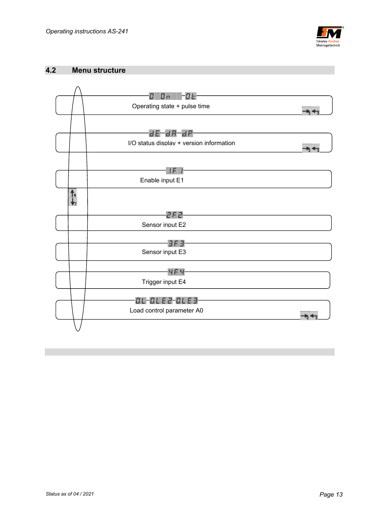

#### **4.2 Menu structure**

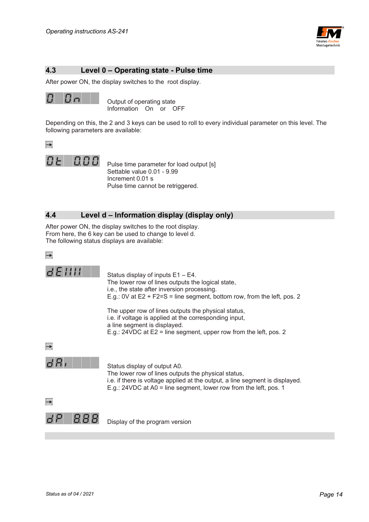

# **4.3 Level 0 – Operating state - Pulse time**

After power ON, the display switches to the root display.



 Output of operating state Information On or OFF

Depending on this, the 2 and 3 keys can be used to roll to every individual parameter on this level. The following parameters are available:





 Pulse time parameter for load output [s] Settable value 0.01 - 9.99 Increment 0.01 s Pulse time cannot be retriggered.

## **4.4 Level d – Information display (display only)**

After power ON, the display switches to the root display. From here, the 6 key can be used to change to level d. The following status displays are available:



 $dEIII$ 

 Status display of inputs E1 – E4. The lower row of lines outputs the logical state, i.e., the state after inversion processing. E.g.: 0V at E2 + F2=S = line segment, bottom row, from the left, pos. 2

 The upper row of lines outputs the physical status, i.e. if voltage is applied at the corresponding input, a line segment is displayed. E.g.: 24VDC at E2 = line segment, upper row from the left, pos. 2





 Status display of output A0. The lower row of lines outputs the physical status, i.e. if there is voltage applied at the output, a line segment is displayed. E.g.: 24VDC at A0 = line segment, lower row from the left, pos. 1

 $\rightarrow$ 



Display of the program version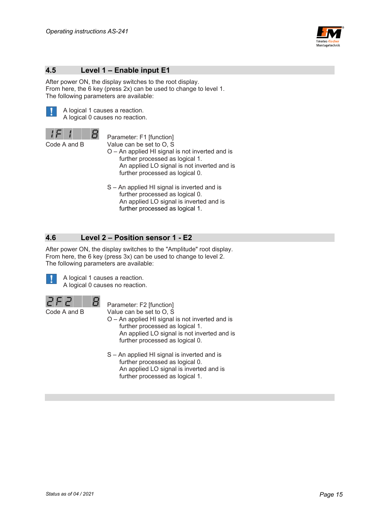

### **4.5 Level 1 – Enable input E1**

After power ON, the display switches to the root display. From here, the 6 key (press 2x) can be used to change to level 1. The following parameters are available:



 A logical 1 causes a reaction. A logical 0 causes no reaction.

9

 Parameter: F1 [function] Code A and B Value can be set to O, S

- O An applied HI signal is not inverted and is further processed as logical 1. An applied LO signal is not inverted and is further processed as logical 0.
- S An applied HI signal is inverted and is further processed as logical 0. An applied LO signal is inverted and is further processed as logical 1.

# **4.6 Level 2 – Position sensor 1 - E2**

After power ON, the display switches to the "Amplitude" root display. From here, the 6 key (press 3x) can be used to change to level 2. The following parameters are available:



 A logical 1 causes a reaction. A logical 0 causes no reaction.



Code A and B Value can be set to O, S

 $\mathbf{B}$  Parameter: F2 [function]

- O An applied HI signal is not inverted and is further processed as logical 1. An applied LO signal is not inverted and is further processed as logical 0.
- S An applied HI signal is inverted and is further processed as logical 0. An applied LO signal is inverted and is further processed as logical 1.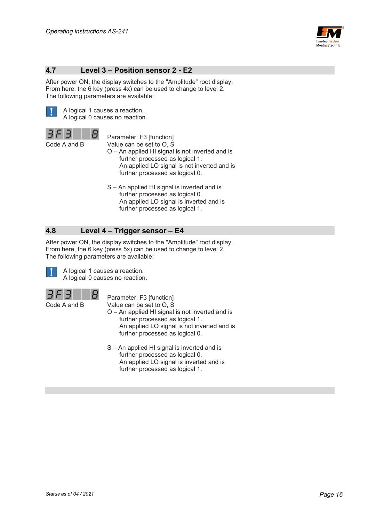

#### **4.7 Level 3 – Position sensor 2 - E2**

After power ON, the display switches to the "Amplitude" root display. From here, the 6 key (press 4x) can be used to change to level 2. The following parameters are available:



 A logical 1 causes a reaction. A logical 0 causes no reaction.

 $B$  Parameter: F3 [function] Code A and B Value can be set to O, S

- O An applied HI signal is not inverted and is further processed as logical 1. An applied LO signal is not inverted and is further processed as logical 0.
- S An applied HI signal is inverted and is further processed as logical 0. An applied LO signal is inverted and is further processed as logical 1.

#### **4.8 Level 4 – Trigger sensor – E4**

After power ON, the display switches to the "Amplitude" root display. From here, the 6 key (press 5x) can be used to change to level 2. The following parameters are available:



 A logical 1 causes a reaction. A logical 0 causes no reaction.



Parameter: F3 [function]

- Code A and B Value can be set to O, S
	- O An applied HI signal is not inverted and is further processed as logical 1. An applied LO signal is not inverted and is further processed as logical 0.
	- S An applied HI signal is inverted and is further processed as logical 0. An applied LO signal is inverted and is further processed as logical 1.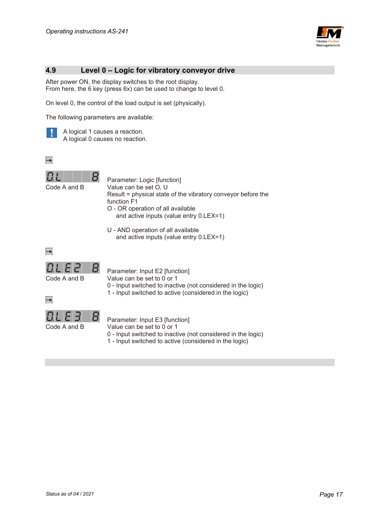

#### **4.9 Level 0 – Logic for vibratory conveyor drive**

After power ON, the display switches to the root display. From here, the 6 key (press 6x) can be used to change to level 0.

On level 0, the control of the load output is set (physically).

The following parameters are available:



 A logical 1 causes a reaction. A logical 0 causes no reaction.





 Parameter: Logic [function] Code A and B Value can be set O, U Result = physical state of the vibratory conveyor before the function F1 O - OR operation of all available and active inputs (value entry 0.LEX=1)

> U - AND operation of all available and active inputs (value entry 0.LEX=1)



 $\rightarrow$ 

Parameter: Input E2 [function]

Code A and B Value can be set to 0 or 1

- 0 Input switched to inactive (not considered in the logic)
- 1 Input switched to active (considered in the logic)



 $B$  Parameter: Input E3 [function]

Code A and B Value can be set to 0 or 1

- 0 Input switched to inactive (not considered in the logic)
- 1 Input switched to active (considered in the logic)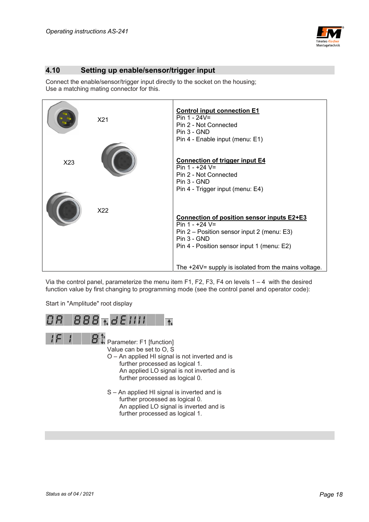

## **4.10 Setting up enable/sensor/trigger input**

Connect the enable/sensor/trigger input directly to the socket on the housing; Use a matching mating connector for this.



Via the control panel, parameterize the menu item F1, F2, F3, F4 on levels  $1 - 4$  with the desired function value by first changing to programming mode (see the control panel and operator code):

Start in "Amplitude" root display

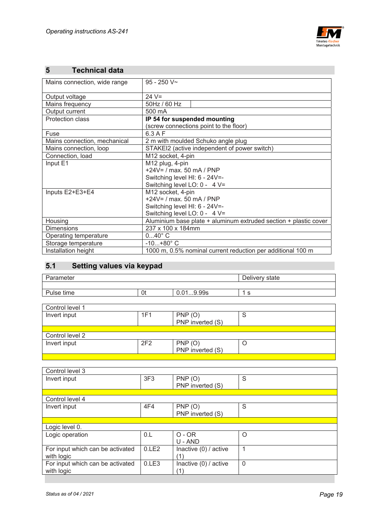

# **5 Technical data**

| Mains connection, wide range | $95 - 250$ V~                                                    |  |
|------------------------------|------------------------------------------------------------------|--|
|                              |                                                                  |  |
| Output voltage               | $24 V =$                                                         |  |
| Mains frequency              | 50Hz / 60 Hz                                                     |  |
| Output current               | 500 mA                                                           |  |
| <b>Protection class</b>      | IP 54 for suspended mounting                                     |  |
|                              | (screw connections point to the floor)                           |  |
| Fuse                         | $6.3$ A F                                                        |  |
| Mains connection, mechanical | 2 m with moulded Schuko angle plug                               |  |
| Mains connection, loop       | STAKEI2 (active independent of power switch)                     |  |
| Connection, load             | M12 socket, 4-pin                                                |  |
| Input E1                     | M12 plug, 4-pin                                                  |  |
|                              | $+24V = / max. 50 mA / PNP$                                      |  |
|                              | Switching level HI: 6 - 24V=-                                    |  |
|                              | Switching level LO: 0 - 4 V=                                     |  |
| Inputs E2+E3+E4              | M12 socket, 4-pin                                                |  |
|                              | $+24V = / max. 50 mA / PNP$                                      |  |
|                              | Switching level HI: 6 - 24V=-                                    |  |
|                              | Switching level LO: 0 - 4 V=                                     |  |
| Housing                      | Aluminium base plate + aluminum extruded section + plastic cover |  |
| <b>Dimensions</b>            | 237 x 100 x 184mm                                                |  |
| Operating temperature        | $040^{\circ}$ C                                                  |  |
| Storage temperature          | $-10+80^{\circ}$ C                                               |  |
| Installation height          | 1000 m, 0.5% nominal current reduction per additional 100 m      |  |
|                              |                                                                  |  |

# **5.1 Setting values via keypad**

| Parameter       |     |                  | Delivery state |
|-----------------|-----|------------------|----------------|
|                 |     |                  |                |
| Pulse time      | 0t  | 0.019.99s        | 1 s            |
|                 |     |                  |                |
| Control level 1 |     |                  |                |
| Invert input    | 1F1 | PNP(O)           | S              |
|                 |     | PNP inverted (S) |                |
|                 |     |                  |                |
| Control level 2 |     |                  |                |
| Invert input    | 2F2 | PNP(O)           | O              |
|                 |     | PNP inverted (S) |                |
|                 |     |                  |                |

| Control level 3                  |                 |                         |                |
|----------------------------------|-----------------|-------------------------|----------------|
| Invert input                     | 3F <sub>3</sub> | PNP(O)                  | S              |
|                                  |                 | PNP inverted (S)        |                |
|                                  |                 |                         |                |
| Control level 4                  |                 |                         |                |
| Invert input                     | 4F4             | PNP(O)                  | S              |
|                                  |                 | PNP inverted (S)        |                |
|                                  |                 |                         |                |
| Logic level 0.                   |                 |                         |                |
| Logic operation                  | 0.L             | $O - OR$                | $\Omega$       |
|                                  |                 | $U - AND$               |                |
| For input which can be activated | 0.LE2           | Inactive (0) / active   |                |
| with logic                       |                 | (1)                     |                |
| For input which can be activated | 0.LE3           | Inactive $(0)$ / active | $\overline{0}$ |
| with logic                       |                 | (1)                     |                |
|                                  |                 |                         |                |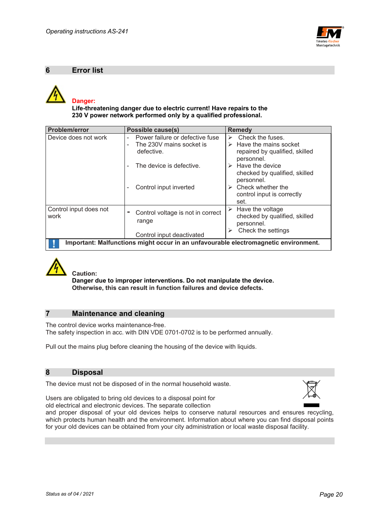

#### **6 Error list**



 **Life-threatening danger due to electric current! Have repairs to the 230 V power network performed only by a qualified professional.** 

| Problem/error                                                                       | <b>Possible cause(s)</b>                             | <b>Remedy</b>                          |  |  |  |
|-------------------------------------------------------------------------------------|------------------------------------------------------|----------------------------------------|--|--|--|
| Device does not work                                                                | Power failure or defective fuse<br>۰                 | Check the fuses.<br>➤                  |  |  |  |
|                                                                                     | The 230V mains socket is                             | $\triangleright$ Have the mains socket |  |  |  |
|                                                                                     | defective.                                           | repaired by qualified, skilled         |  |  |  |
|                                                                                     |                                                      | personnel.                             |  |  |  |
|                                                                                     | The device is defective.<br>$\overline{\phantom{0}}$ | $\triangleright$ Have the device       |  |  |  |
|                                                                                     |                                                      | checked by qualified, skilled          |  |  |  |
|                                                                                     |                                                      | personnel.                             |  |  |  |
|                                                                                     | Control input inverted<br>۰                          | Check whether the<br>≻                 |  |  |  |
|                                                                                     |                                                      | control input is correctly             |  |  |  |
|                                                                                     |                                                      | set.                                   |  |  |  |
| Control input does not                                                              |                                                      | $\triangleright$ Have the voltage      |  |  |  |
| work                                                                                | Control voltage is not in correct<br>٠               | checked by qualified, skilled          |  |  |  |
|                                                                                     | range                                                | personnel.                             |  |  |  |
|                                                                                     |                                                      | Check the settings                     |  |  |  |
|                                                                                     | Control input deactivated                            |                                        |  |  |  |
| Important: Malfunctions might occur in an unfavourable electromagnetic environment. |                                                      |                                        |  |  |  |



 **Caution:** 

 **Danger due to improper interventions. Do not manipulate the device. Otherwise, this can result in function failures and device defects.** 

## **7 Maintenance and cleaning**

The control device works maintenance-free. The safety inspection in acc. with DIN VDE 0701-0702 is to be performed annually.

Pull out the mains plug before cleaning the housing of the device with liquids.

#### **8 Disposal**

The device must not be disposed of in the normal household waste.



Users are obligated to bring old devices to a disposal point for old electrical and electronic devices. The separate collection

and proper disposal of your old devices helps to conserve natural resources and ensures recycling, which protects human health and the environment. Information about where you can find disposal points for your old devices can be obtained from your city administration or local waste disposal facility.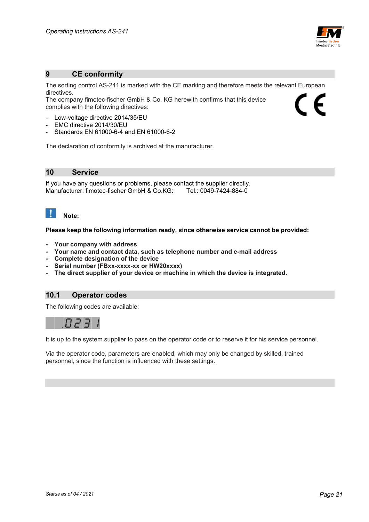

#### **9 CE conformity**

The sorting control AS-241 is marked with the CE marking and therefore meets the relevant European directives.  $\epsilon$ 

The company fimotec-fischer GmbH & Co. KG herewith confirms that this device complies with the following directives:

- Low-voltage directive 2014/35/EU
- EMC directive 2014/30/EU
- Standards EN 61000-6-4 and EN 61000-6-2

The declaration of conformity is archived at the manufacturer.

**10 Service** 

If you have any questions or problems, please contact the supplier directly. Manufacturer: fimotec-fischer GmbH & Co.KG: Tel.: 0049-7424-884-0

# **Note:**

**Please keep the following information ready, since otherwise service cannot be provided:** 

- **Your company with address**
- **Your name and contact data, such as telephone number and e-mail address**
- **Complete designation of the device**
- Serial number (FBxx-xxxx-xx or HW20xxxx)
- **The direct supplier of your device or machine in which the device is integrated.**

## **10.1 Operator codes**

The following codes are available:



It is up to the system supplier to pass on the operator code or to reserve it for his service personnel.

Via the operator code, parameters are enabled, which may only be changed by skilled, trained personnel, since the function is influenced with these settings.